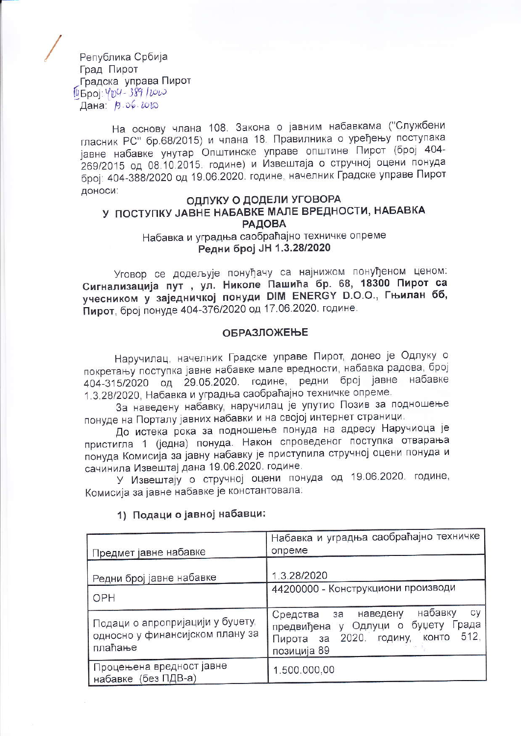Република Србија Град Пирот Градска управа Пирот 14 5 poj: 404 - 389 / 2020 Дана: 19.06.2010

На основу члана 108. Закона о јавним набавкама ("Службени гласник РС" бр.68/2015) и члана 18. Правилника о уређењу поступака јавне набавке унутар Општинске управе општине Пирот (број 404-269/2015 од 08.10.2015. године) и Извештаја о стручној оцени понуда број: 404-388/2020 од 19.06.2020. године, начелник Градске управе Пирот доноси:

#### ОДЛУКУ О ДОДЕЛИ УГОВОРА У ПОСТУПКУ ЈАВНЕ НАБАВКЕ МАЛЕ ВРЕДНОСТИ, НАБАВКА **РАДОВА** Набавка и уградња саобраћајно техничке опреме Редни број ЈН 1.3.28/2020

Уговор се додељује понуђачу са најнижом понуђеном ценом: Сигнализација пут , ул. Николе Пашића бр. 68, 18300 Пирот са учесником у заједничкој понуди DIM ENERGY D.O.O., Гњилан бб, Пирот, број понуде 404-376/2020 од 17.06.2020. године.

#### **ОБРАЗЛОЖЕЊЕ**

Наручилац, начелник Градске управе Пирот, донео је Одлуку о покретању поступка јавне набавке мале вредности, набавка радова, број 404-315/2020 од 29.05.2020. године, редни број јавне набавке 1.3.28/2020, Набавка и уградња саобраћајно техничке опреме.

За наведену набавку, наручилац је упутио Позив за подношење понуде на Порталу јавних набавки и на својој интернет страници.

До истека рока за подношење понуда на адресу Наручиоца је пристигла 1 (једна) понуда. Након спроведеног поступка отварања понуда Комисија за јавну набавку је приступила стручној оцени понуда и сачинила Извештај дана 19.06.2020. године.

У Извештају о стручној оцени понуда од 19.06.2020. године, Комисија за јавне набавке је константовала:

| Предмет јавне набавке                                                          | Набавка и уградња саобраћајно техничке<br>опреме                                                                                                |  |
|--------------------------------------------------------------------------------|-------------------------------------------------------------------------------------------------------------------------------------------------|--|
| Редни број јавне набавке                                                       | 1.3.28/2020                                                                                                                                     |  |
| OPH                                                                            | 44200000 - Конструкциони производи                                                                                                              |  |
| Подаци о апропријацији у буџету,<br>односно у финансијском плану за<br>плаћање | набавку<br>cy<br>наведену<br>Средства<br>за<br>предвиђена у Одлуци о буџету<br>Града<br>512,<br>Пирота за 2020. годину,<br>KOHTO<br>позиција 89 |  |
| Процењена вредност јавне<br>набавке (без ПДВ-а)                                | 1.500.000,00                                                                                                                                    |  |

## 1) Подаци о јавној набавци: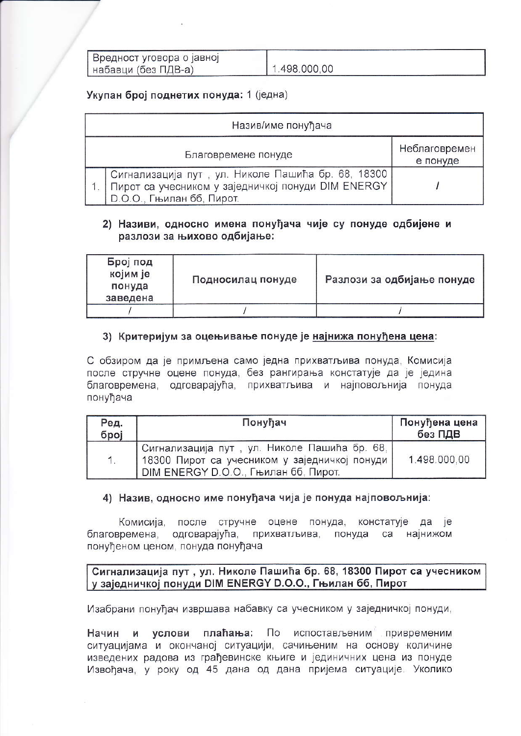| Вредност уговора о јавној |              |
|---------------------------|--------------|
| набавци (без ПДВ-а)       | 1.498.000.00 |

# Укупан број поднетих понуда: 1 (једна)

| Назив/име понуђача |                                                                                                                                       |                           |  |  |  |
|--------------------|---------------------------------------------------------------------------------------------------------------------------------------|---------------------------|--|--|--|
|                    | Благовремене понуде                                                                                                                   | Неблаговремен<br>е понуде |  |  |  |
|                    | Сигнализација пут, ул. Николе Пашића бр. 68, 18300<br>Пирот са учесником у заједничкој понуди DIM ENERGY<br>D.O.O., Гњилан бб, Пирот. |                           |  |  |  |

## 2) Називи, односно имена понуђача чије су понуде одбијене и разлози за њихово одбијање:

| Број под<br>којим је<br>понуда<br>заведена | Подносилац понуде | Разлози за одбијање понуде |
|--------------------------------------------|-------------------|----------------------------|
|                                            |                   |                            |

#### 3) Критеријум за оцењивање понуде је најнижа понуђена цена:

С обзиром да је примљена само једна прихватљива понуда, Комисија после стручне оцене понуда, без рангирања констатује да је једина благовремена, одговарајућа, прихватљива и најповољнија понуда понуђача

| Ред.<br>број | Понуђач                                                                                                                                      | Понуђена цена<br>без ПДВ |
|--------------|----------------------------------------------------------------------------------------------------------------------------------------------|--------------------------|
|              | Сигнализација пут, ул. Николе Пашића бр. 68,<br>18300 Пирот са учесником у заједничкој понуди<br><b>DIM ENERGY D.O.O., Гњилан бб, Пирот.</b> | 1.498.000.00             |

## 4) Назив, односно име понуђача чија је понуда најповољнија:

Комисија, после стручне оцене понуда, констатује да је благовремена, одговарајућа, прихватљива, понуда са најнижом понуђеном ценом, понуда понуђача

## Сигнализација пут, ул. Николе Пашића бр. 68, 18300 Пирот са учесником у заједничкој понуди DIM ENERGY D.O.O., Гњилан бб, Пирот

Изабрани понуђач извршава набавку са учесником у заједничкој понуди,

услови плаћања: По испостављеним привременим Начин М ситуацијама и окончаној ситуацији, сачињеним на основу количине изведених радова из грађевинске књиге и јединичних цена из понуде Извођача, у року од 45 дана од дана пријема ситуације. Уколико